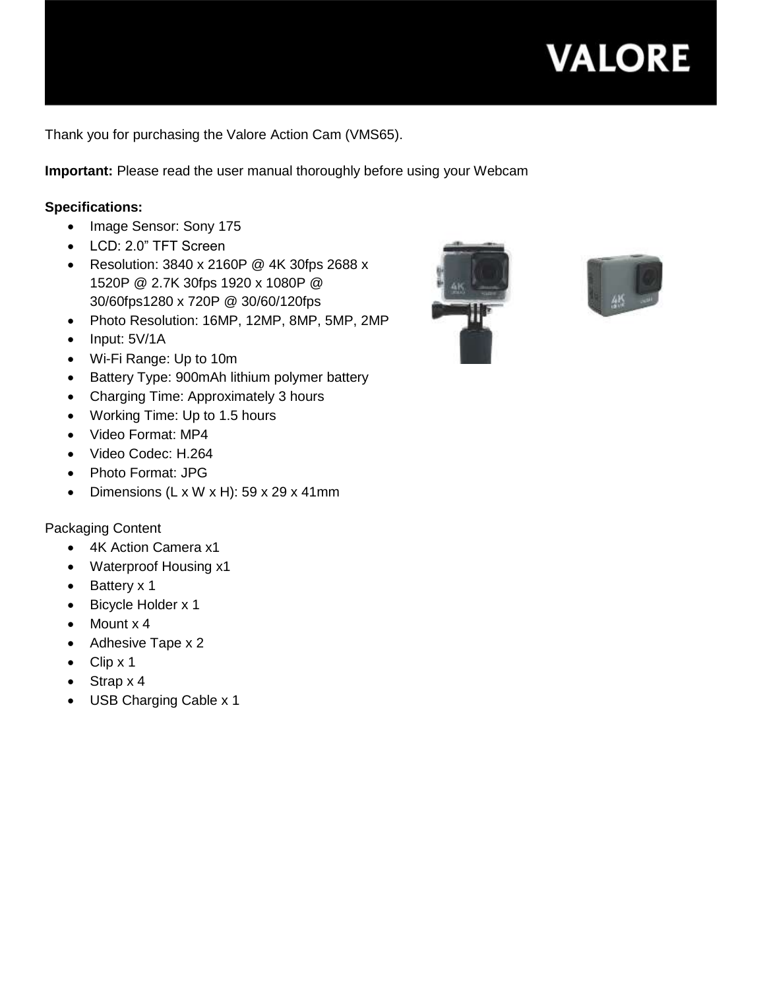

Thank you for purchasing the Valore Action Cam (VMS65).

**Important:** Please read the user manual thoroughly before using your Webcam

#### **Specifications:**

- Image Sensor: Sony 175
- LCD: 2.0" TFT Screen
- Resolution: 3840 x 2160P @ 4K 30fps 2688 x 1520P @ 2.7K 30fps 1920 x 1080P @ 30/60fps1280 x 720P @ 30/60/120fps
- Photo Resolution: 16MP, 12MP, 8MP, 5MP, 2MP
- $\bullet$  Input:  $5V/1A$
- Wi-Fi Range: Up to 10m
- Battery Type: 900mAh lithium polymer battery
- Charging Time: Approximately 3 hours
- Working Time: Up to 1.5 hours
- Video Format: MP4
- Video Codec: H.264
- Photo Format: JPG
- Dimensions (L x W x H): 59 x 29 x 41mm

### Packaging Content

- 4K Action Camera x1
- Waterproof Housing x1
- Battery x 1
- Bicycle Holder x 1
- $\bullet$  Mount x 4
- Adhesive Tape x 2
- $\bullet$  Clip x 1
- $\bullet$  Strap x 4
- USB Charging Cable x 1



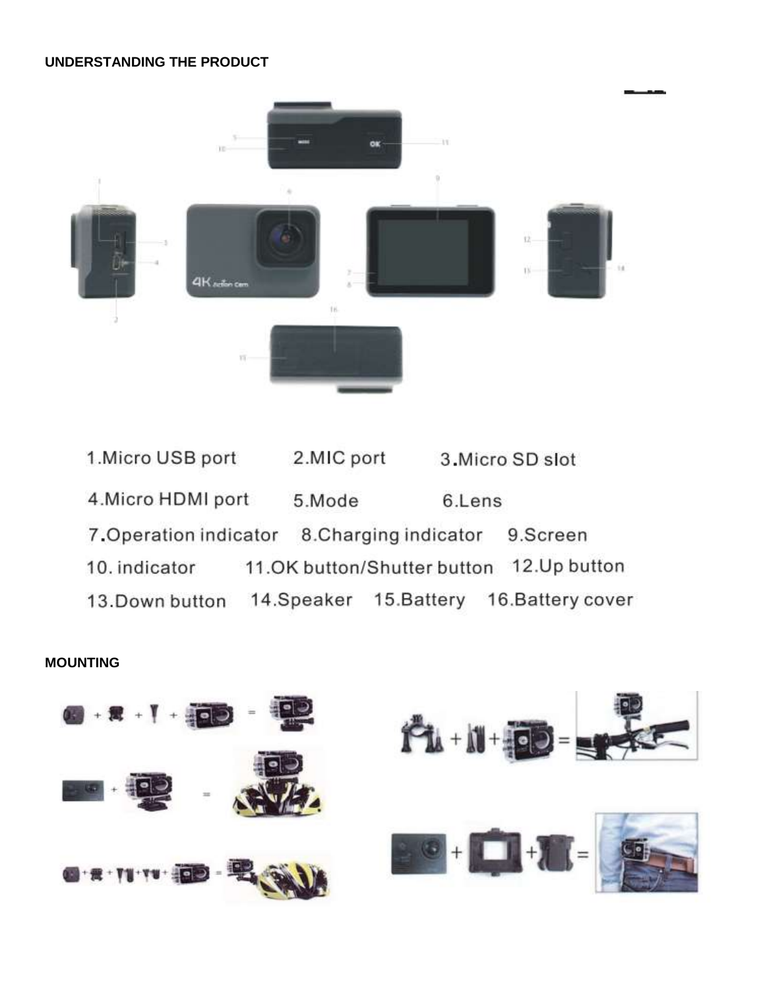#### **UNDERSTANDING THE PRODUCT**



1. Micro USB port 2.MIC port 3. Micro SD slot 4. Micro HDMI port 5.Mode 6.Lens 7. Operation indicator 8. Charging indicator 9.Screen 11.OK button/Shutter button 12.Up button 10. indicator 13. Down button 14. Speaker 15. Battery 16. Battery cover

**MOUNTING**

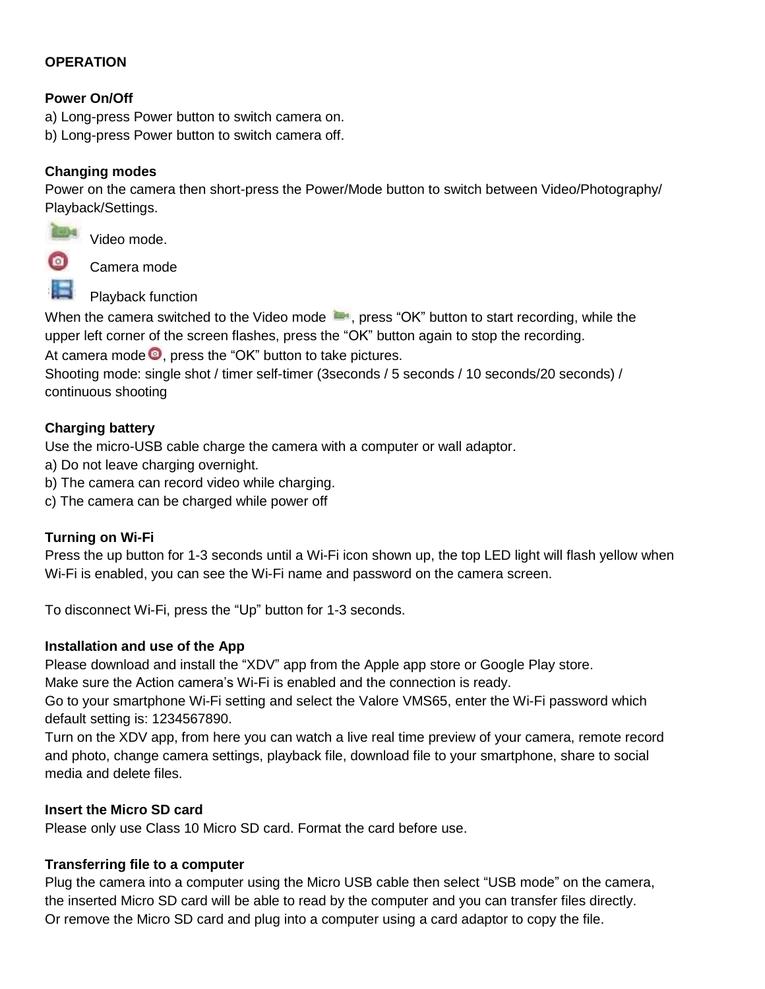### **OPERATION**

### **Power On/Off**

a) Long-press Power button to switch camera on.

b) Long-press Power button to switch camera off.

## **Changing modes**

Power on the camera then short-press the Power/Mode button to switch between Video/Photography/ Playback/Settings.



**Video mode.** 

Camera mode



Playback function

When the camera switched to the Video mode  $\blacksquare$ , press "OK" button to start recording, while the upper left corner of the screen flashes, press the "OK" button again to stop the recording.

At camera mode  $\bullet$ , press the "OK" button to take pictures.

Shooting mode: single shot / timer self-timer (3seconds / 5 seconds / 10 seconds/20 seconds) / continuous shooting

# **Charging battery**

Use the micro-USB cable charge the camera with a computer or wall adaptor.

- a) Do not leave charging overnight.
- b) The camera can record video while charging.
- c) The camera can be charged while power off

### **Turning on Wi-Fi**

Press the up button for 1-3 seconds until a Wi-Fi icon shown up, the top LED light will flash yellow when Wi-Fi is enabled, you can see the Wi-Fi name and password on the camera screen.

To disconnect Wi-Fi, press the "Up" button for 1-3 seconds.

### **Installation and use of the App**

Please download and install the "XDV" app from the Apple app store or Google Play store.

Make sure the Action camera's Wi-Fi is enabled and the connection is ready.

Go to your smartphone Wi-Fi setting and select the Valore VMS65, enter the Wi-Fi password which default setting is: 1234567890.

Turn on the XDV app, from here you can watch a live real time preview of your camera, remote record and photo, change camera settings, playback file, download file to your smartphone, share to social media and delete files.

### **Insert the Micro SD card**

Please only use Class 10 Micro SD card. Format the card before use.

### **Transferring file to a computer**

Plug the camera into a computer using the Micro USB cable then select "USB mode" on the camera, the inserted Micro SD card will be able to read by the computer and you can transfer files directly. Or remove the Micro SD card and plug into a computer using a card adaptor to copy the file.